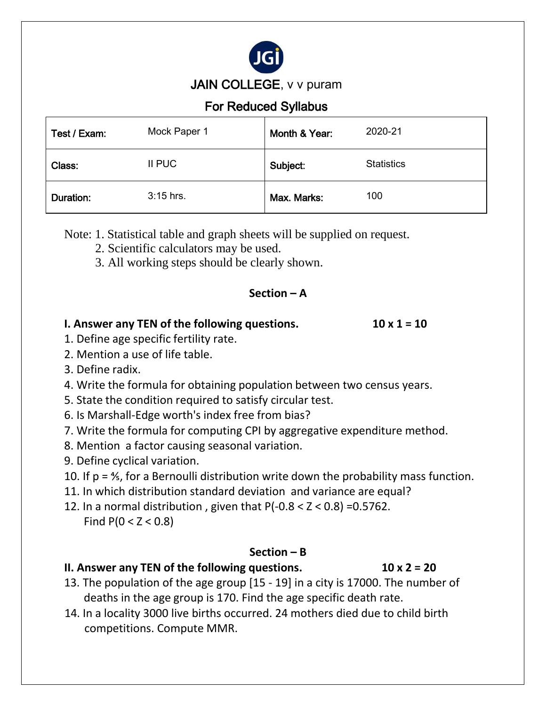

JAIN COLLEGE, v v puram

# For Reduced Syllabus

| Test / Exam: | Mock Paper 1 | Month & Year: | 2020-21           |
|--------------|--------------|---------------|-------------------|
| Class:       | II PUC       | Subject:      | <b>Statistics</b> |
| Duration:    | 3:15 hrs.    | Max. Marks:   | 100               |

Note: 1. Statistical table and graph sheets will be supplied on request.

- 2. Scientific calculators may be used.
- 3. All working steps should be clearly shown.

## **Section – A**

## **I. Answer any TEN of the following questions. 10 x 1 = 10**

- 1. Define age specific fertility rate.
- 2. Mention a use of life table.
- 3. Define radix.
- 4. Write the formula for obtaining population between two census years.
- 5. State the condition required to satisfy circular test.
- 6. Is Marshall-Edge worth's index free from bias?
- 7. Write the formula for computing CPI by aggregative expenditure method.
- 8. Mention a factor causing seasonal variation.
- 9. Define cyclical variation.
- 10. If p = ⅘, for a Bernoulli distribution write down the probability mass function.
- 11. In which distribution standard deviation and variance are equal?
- 12. In a normal distribution, given that  $P(-0.8 < Z < 0.8) = 0.5762$ . Find  $P(0 < Z < 0.8)$

## **Section – B**

# **II. Answer any TEN of the following questions. 10 x 2 = 20**

- 13. The population of the age group [15 19] in a city is 17000. The number of deaths in the age group is 170. Find the age specific death rate.
- 14. In a locality 3000 live births occurred. 24 mothers died due to child birth competitions. Compute MMR.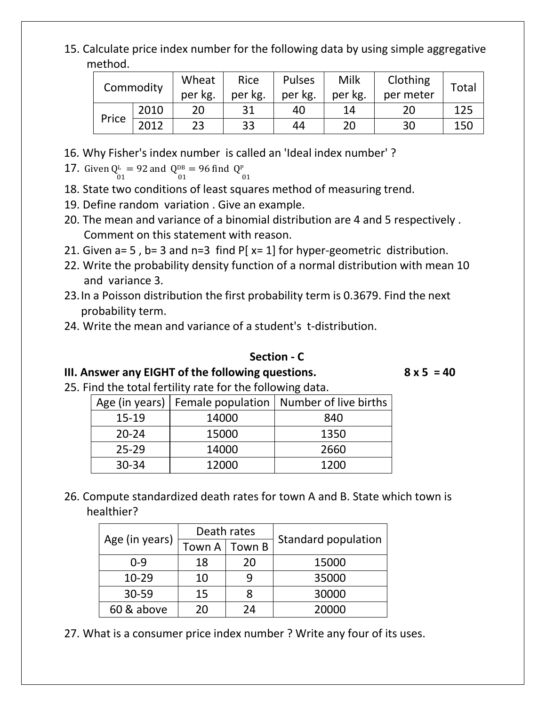15. Calculate price index number for the following data by using simple aggregative method.

| Commodity |      | Wheat<br>per kg. | Rice<br>per kg. | <b>Pulses</b><br>per kg. | Milk<br>per kg. | Clothing<br>per meter | Total |
|-----------|------|------------------|-----------------|--------------------------|-----------------|-----------------------|-------|
|           | 2010 | 20               |                 | 40                       | 14              | 20                    | 125   |
| Price     | 2012 | 23               | 33              | 44                       | 20              | 30                    | 150   |

- 16. Why Fisher's index number is called an 'Ideal index number' ?
- 17. Given  $Q^L = 92$  and  $Q^{DB} = 96$  find  $Q^P$  $01$  01 01
- 18. State two conditions of least squares method of measuring trend.
- 19. Define random variation . Give an example.
- 20. The mean and variance of a binomial distribution are 4 and 5 respectively . Comment on this statement with reason.
- 21. Given  $a= 5$ ,  $b= 3$  and  $n=3$  find P[ $x= 1$ ] for hyper-geometric distribution.
- 22. Write the probability density function of a normal distribution with mean 10 and variance 3.
- 23.In a Poisson distribution the first probability term is 0.3679. Find the next probability term.
- 24. Write the mean and variance of a student's t-distribution.

#### **Section - C**

**III. Answer any EIGHT of the following questions. 8 x 5 = 40**

25. Find the total fertility rate for the following data.

| Age (in years) | Female population | Number of live births |
|----------------|-------------------|-----------------------|
| $15 - 19$      | 14000             | 840                   |
| $20 - 24$      | 15000             | 1350                  |
| $25 - 29$      | 14000             | 2660                  |
| $30 - 34$      | 12000             | 1200                  |

26. Compute standardized death rates for town A and B. State which town is healthier?

|                |        | Death rates |                            |  |
|----------------|--------|-------------|----------------------------|--|
| Age (in years) | Town A | Town B      | <b>Standard population</b> |  |
| $0 - 9$        | 18     | 20          | 15000                      |  |
| $10 - 29$      | 10     |             | 35000                      |  |
| $30 - 59$      | 15     |             | 30000                      |  |
| 60 & above     | 20     | 24          | 20000                      |  |

27. What is a consumer price index number ? Write any four of its uses.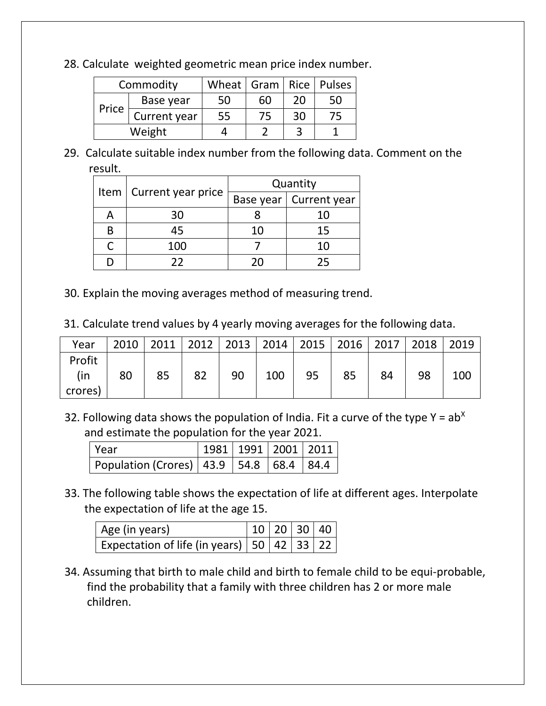28. Calculate weighted geometric mean price index number.

| Commodity |              | Wheat   Gram   Rice   Pulses |    |    |    |
|-----------|--------------|------------------------------|----|----|----|
|           | Base year    | 50                           | 60 | 20 | 50 |
| Price     | Current year | 55                           | 75 | 30 | 75 |
| Weight    |              |                              |    |    |    |

29. Calculate suitable index number from the following data. Comment on the result.

|   |                           | Quantity |                          |  |  |
|---|---------------------------|----------|--------------------------|--|--|
|   | Item   Current year price |          | Base year   Current year |  |  |
|   | 30                        |          | 10                       |  |  |
| R | 45                        | 10       | 15                       |  |  |
|   | 100                       |          | 10                       |  |  |
|   | つつ                        | ו נ      | フら                       |  |  |

- 30. Explain the moving averages method of measuring trend.
- 31. Calculate trend values by 4 yearly moving averages for the following data.

| Year                     | 2010 |    |    | 2011   2012   2013   2014   2015   2016   2017 |     |    |    |    | 2018 | 2019 |
|--------------------------|------|----|----|------------------------------------------------|-----|----|----|----|------|------|
| Profit<br>(in<br>crores) | 80   | 85 | 82 | 90                                             | 100 | 95 | 85 | 84 | 98   | 100  |

32. Following data shows the population of India. Fit a curve of the type  $Y = ab^X$ and estimate the population for the year 2021.

| Year                                            |  | 1981   1991   2001   2011 |  |
|-------------------------------------------------|--|---------------------------|--|
| Population (Crores)   43.9   54.8   68.4   84.4 |  |                           |  |

33. The following table shows the expectation of life at different ages. Interpolate the expectation of life at the age 15.

| Age (in years)                                                  |  | 10 20 30 40 |
|-----------------------------------------------------------------|--|-------------|
| Expectation of life (in years)   50   42   $\overline{33}$   22 |  |             |

34. Assuming that birth to male child and birth to female child to be equi-probable, find the probability that a family with three children has 2 or more male children.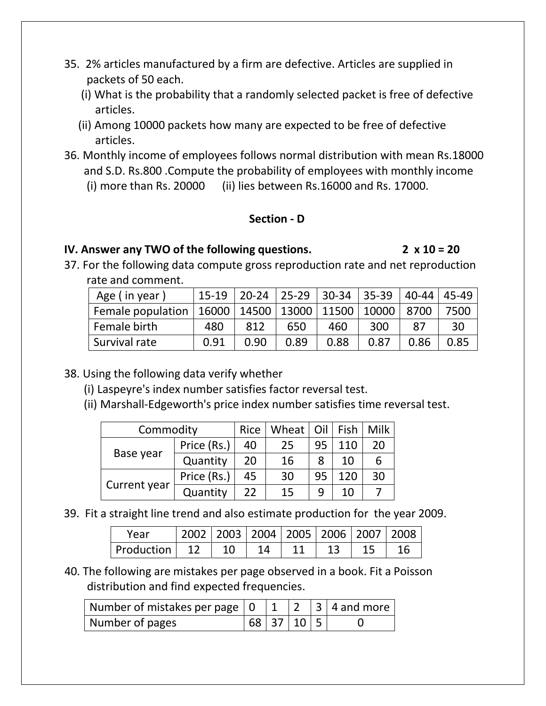- 35. 2% articles manufactured by a firm are defective. Articles are supplied in packets of 50 each.
	- (i) What is the probability that a randomly selected packet is free of defective articles.
	- (ii) Among 10000 packets how many are expected to be free of defective articles.
- 36. Monthly income of employees follows normal distribution with mean Rs.18000 and S.D. Rs.800 .Compute the probability of employees with monthly income (i) more than Rs. 20000 (ii) lies between Rs.16000 and Rs. 17000.

#### **Section - D**

### **IV. Answer any TWO of the following questions. 2 x 10 = 20**

37. For the following data compute gross reproduction rate and net reproduction rate and comment.

| Age (in year)                                                    | 15-19 |      |      |      | 20-24   25-29   30-34   35-39   40-44   45-49 |      |      |
|------------------------------------------------------------------|-------|------|------|------|-----------------------------------------------|------|------|
| Female population   16000   14500   13000   11500   10000   8700 |       |      |      |      |                                               |      | 7500 |
| Female birth                                                     | 480   | 812  | 650  | 460  | 300                                           | 87   | 30   |
| Survival rate                                                    | 0.91  | 0.90 | 0.89 | 0.88 | 0.87                                          | 0.86 | 0.85 |

## 38. Using the following data verify whether

- (i) Laspeyre's index number satisfies factor reversal test.
- (ii) Marshall-Edgeworth's price index number satisfies time reversal test.

| Commodity    |             | Rice | Wheat   Oil   Fish |    |     | Milk |
|--------------|-------------|------|--------------------|----|-----|------|
| Base year    | Price (Rs.) | 40   | 25                 | 95 | 110 | 20   |
|              | Quantity    | 20   | 16                 | 8  | 10  | 6    |
| Current year | Price (Rs.) | 45   | 30                 | 95 | 120 | 30   |
|              | Quantity    | 22   | 15                 |    | 10  |      |

39. Fit a straight line trend and also estimate production for the year 2009.

| Year       |                 |  | 2002   2003   2004   2005   2006   2007   2008 |  |  |
|------------|-----------------|--|------------------------------------------------|--|--|
| Production | $\overline{12}$ |  |                                                |  |  |

40. The following are mistakes per page observed in a book. Fit a Poisson distribution and find expected frequencies.

| Number of pages | 68   37   10   5 |  |  |
|-----------------|------------------|--|--|